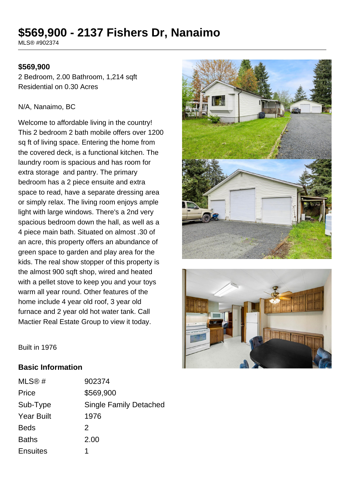# **\$569,900 - 2137 Fishers Dr, Nanaimo**

MLS® #902374

## **\$569,900**

2 Bedroom, 2.00 Bathroom, 1,214 sqft Residential on 0.30 Acres

#### N/A, Nanaimo, BC

Welcome to affordable living in the country! This 2 bedroom 2 bath mobile offers over 1200 sq ft of living space. Entering the home from the covered deck, is a functional kitchen. The laundry room is spacious and has room for extra storage and pantry. The primary bedroom has a 2 piece ensuite and extra space to read, have a separate dressing area or simply relax. The living room enjoys ample light with large windows. There's a 2nd very spacious bedroom down the hall, as well as a 4 piece main bath. Situated on almost .30 of an acre, this property offers an abundance of green space to garden and play area for the kids. The real show stopper of this property is the almost 900 sqft shop, wired and heated with a pellet stove to keep you and your toys warm all year round. Other features of the home include 4 year old roof, 3 year old furnace and 2 year old hot water tank. Call Mactier Real Estate Group to view it today.





Built in 1976

### **Basic Information**

| MLS@#             | 902374                        |
|-------------------|-------------------------------|
| Price             | \$569,900                     |
| Sub-Type          | <b>Single Family Detached</b> |
| <b>Year Built</b> | 1976                          |
| <b>Beds</b>       | 2                             |
| <b>Baths</b>      | 2.00                          |
| <b>Ensuites</b>   | 1                             |